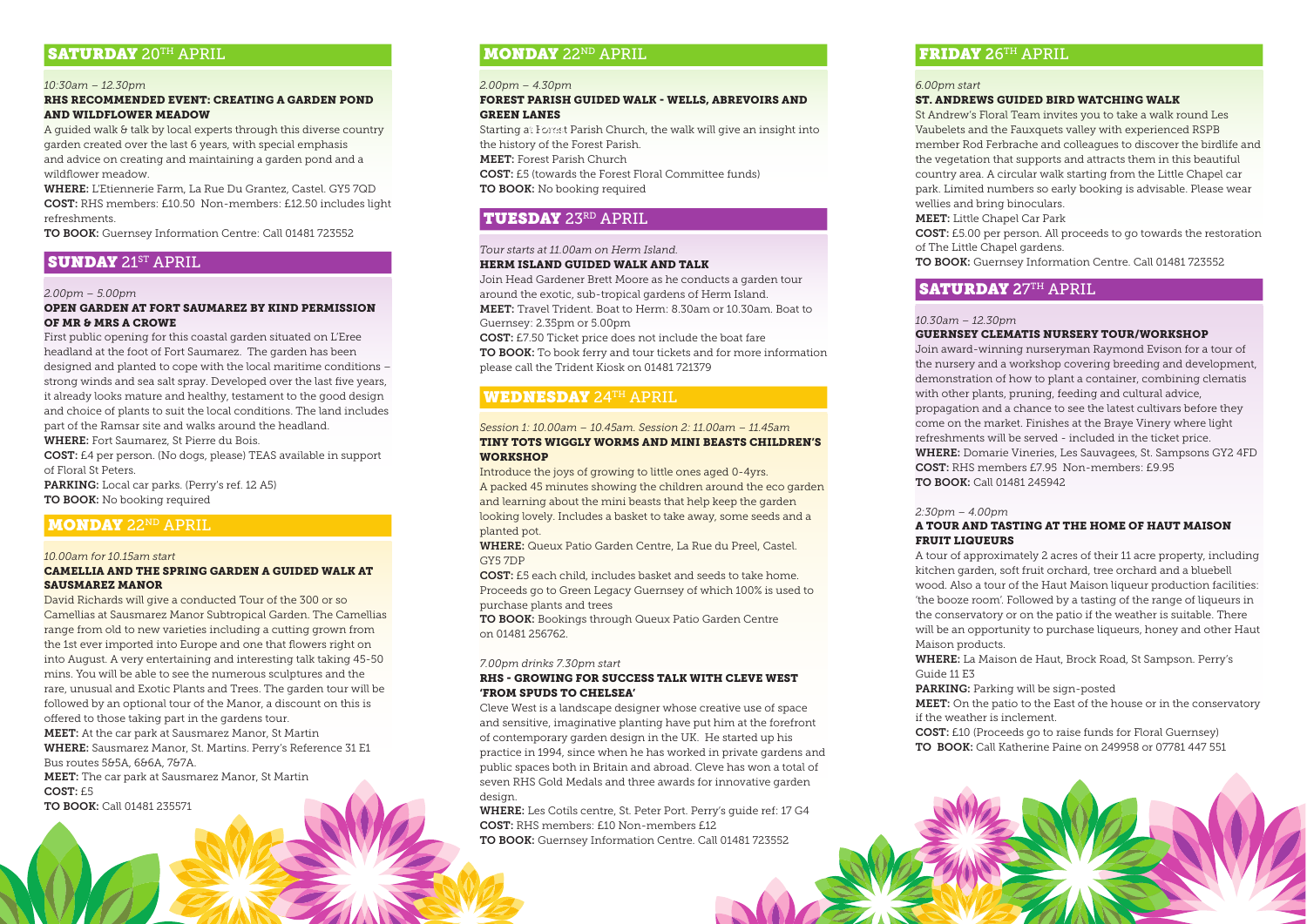# SATURDAY 20TH APRIL

#### *10:30am – 12.30pm*

# RHS RECOMMENDED EVENT: CREATING A GARDEN POND AND WILDFLOWER MEADOW

A guided walk & talk by local experts through this diverse country garden created over the last 6 years, with special emphasis and advice on creating and maintaining a garden pond and a wildflower meadow.

WHERE: L'Etiennerie Farm, La Rue Du Grantez, Castel. GY5 7QD COST: RHS members: £10.50 Non-members: £12.50 includes light refreshments.

TO BOOK: Guernsey Information Centre: Call 01481 723552

# **SUNDAY** 21<sup>ST</sup> APRIL

#### *2.00pm – 5.00pm*

# OPEN GARDEN AT FORT SAUMAREZ BY KIND PERMISSION OF MR & MRS A CROWE

First public opening for this coastal garden situated on L'Eree headland at the foot of Fort Saumarez. The garden has been designed and planted to cope with the local maritime conditions – strong winds and sea salt spray. Developed over the last five years, it already looks mature and healthy, testament to the good design and choice of plants to suit the local conditions. The land includes part of the Ramsar site and walks around the headland.

WHERE: Fort Saumarez, St Pierre du Bois.

COST: £4 per person. (No dogs, please) TEAS available in support of Floral St Peters.

PARKING: Local car parks. (Perry's ref. 12 A5) TO BOOK: No booking required

# **MONDAY 22ND APRIL**

#### *10.00am for 10.15am start*

#### CAMELLIA AND THE SPRING GARDEN A GUIDED WALK AT SAUSMAREZ MANOR

David Richards will give a conducted Tour of the 300 or so Camellias at Sausmarez Manor Subtropical Garden. The Camellias range from old to new varieties including a cutting grown from the 1st ever imported into Europe and one that flowers right on into August. A very entertaining and interesting talk taking 45-50 mins. You will be able to see the numerous sculptures and the rare, unusual and Exotic Plants and Trees. The garden tour will be followed by an optional tour of the Manor, a discount on this is offered to those taking part in the gardens tour. MEET: At the car park at Sausmarez Manor, St Martin WHERE: Sausmarez Manor, St. Martins. Perry's Reference 31 E1 Bus routes 5&5A, 6&6A, 7&7A. MEET: The car park at Sausmarez Manor, St Martin COST: £5

TO BOOK: Call 01481 235571

# **MONDAY 22ND APRIL**

# *2.00pm – 4.30pm*

#### FOREST PARISH GUIDED WALK - WELLS, ABREVOIRS AND GREEN LANES

 $\operatorname{\sf Starting}$  at Forest Parish Church, the walk will give an insight into the history of the Forest Parish. MEET: Forest Parish Church

COST: £5 (towards the Forest Floral Committee funds)

TO BOOK: No booking required

# TUESDAY 23RD APRIL

# *Tour starts at 11.00am on Herm Island.*

# HERM ISLAND GUIDED WALK AND TALK

Join Head Gardener Brett Moore as he conducts a garden tour around the exotic, sub-tropical gardens of Herm Island. MEET: Travel Trident. Boat to Herm: 8.30am or 10.30am. Boat to Guernsey: 2.35pm or 5.00pm

COST: £7.50 Ticket price does not include the boat fare

TO BOOK: To book ferry and tour tickets and for more information please call the Trident Kiosk on 01481 721379

# WEDNESDAY 24TH APRIL

#### *Session 1: 10.00am – 10.45am. Session 2: 11.00am – 11.45am* TINY TOTS WIGGLY WORMS AND MINI BEASTS CHILDREN'S **WORKSHOP**

Introduce the joys of growing to little ones aged 0-4yrs. A packed 45 minutes showing the children around the eco garden and learning about the mini beasts that help keep the garden looking lovely. Includes a basket to take away, some seeds and a planted pot.

WHERE: Queux Patio Garden Centre, La Rue du Preel, Castel. GY5 7DP

COST: £5 each child, includes basket and seeds to take home. Proceeds go to Green Legacy Guernsey of which 100% is used to purchase plants and trees

TO BOOK: Bookings through Queux Patio Garden Centre on 01481 256762.

#### *7.00pm drinks 7.30pm start*

# RHS - GROWING FOR SUCCESS TALK WITH CLEVE WEST 'FROM SPUDS TO CHELSEA'

Cleve West is a landscape designer whose creative use of space and sensitive, imaginative planting have put him at the forefront of contemporary garden design in the UK. He started up his practice in 1994, since when he has worked in private gardens and public spaces both in Britain and abroad. Cleve has won a total of seven RHS Gold Medals and three awards for innovative garden design.

WHERE: Les Cotils centre, St. Peter Port. Perry's guide ref: 17 G4 COST: RHS members: £10 Non-members £12 TO BOOK: Guernsey Information Centre. Call 01481 723552

# FRIDAY 26TH APRIL

#### *6.00pm start*

# ST. ANDREWS GUIDED BIRD WATCHING WALK

St Andrew's Floral Team invites you to take a walk round Les Vaubelets and the Fauxquets valley with experienced RSPB member Rod Ferbrache and colleagues to discover the birdlife and the vegetation that supports and attracts them in this beautiful country area. A circular walk starting from the Little Chapel car park. Limited numbers so early booking is advisable. Please wear wellies and bring binoculars.

MEET: Little Chapel Car Park

COST: £5.00 per person. All proceeds to go towards the restoration of The Little Chapel gardens.

TO BOOK: Guernsey Information Centre. Call 01481 723552

# SATURDAY 27TH APRIL

#### *10.30am – 12.30pm*

# GUERNSEY CLEMATIS NURSERY TOUR/WORKSHOP

Join award-winning nurseryman Raymond Evison for a tour of the nursery and a workshop covering breeding and development, demonstration of how to plant a container, combining clematis with other plants, pruning, feeding and cultural advice, propagation and a chance to see the latest cultivars before they come on the market. Finishes at the Braye Vinery where light refreshments will be served - included in the ticket price. WHERE: Domarie Vineries, Les Sauvagees, St. Sampsons GY2 4FD COST: RHS members £7.95 Non-members: £9.95 TO BOOK: Call 01481 245942

#### *2:30pm – 4.00pm*

# A TOUR AND TASTING AT THE HOME OF HAUT MAISON FRUIT LIQUEURS

A tour of approximately 2 acres of their 11 acre property, including kitchen garden, soft fruit orchard, tree orchard and a bluebell wood. Also a tour of the Haut Maison liqueur production facilities: 'the booze room'. Followed by a tasting of the range of liqueurs in the conservatory or on the patio if the weather is suitable. There will be an opportunity to purchase liqueurs, honey and other Haut Maison products.

WHERE: La Maison de Haut, Brock Road, St Sampson. Perry's Guide 11 E3

PARKING: Parking will be sign-posted

MEET: On the patio to the East of the house or in the conservatory if the weather is inclement.

COST: £10 (Proceeds go to raise funds for Floral Guernsey) TO BOOK: Call Katherine Paine on 249958 or 07781 447 551